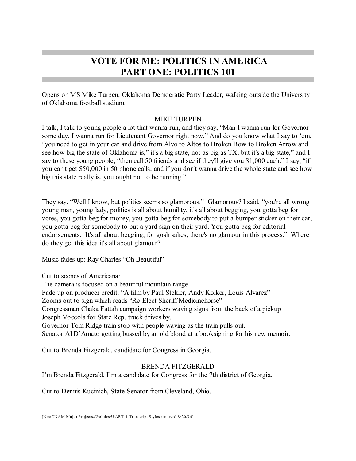# **VOTE FOR ME: POLITICS IN AMERICA PART ONE: POLITICS 101**

Opens on MS Mike Turpen, Oklahoma Democratic Party Leader, walking outside the University of Oklahoma football stadium.

# MIKE TURPEN

I talk, I talk to young people a lot that wanna run, and they say, "Man I wanna run for Governor some day, I wanna run for Lieutenant Governor right now." And do you know what I say to 'em, "you need to get in your car and drive from Alvo to Altos to Broken Bow to Broken Arrow and see how big the state of Oklahoma is," it's a big state, not as big as TX, but it's a big state," and I say to these young people, "then call 50 friends and see if they'll give you \$1,000 each." I say, "if you can't get \$50,000 in 50 phone calls, and if you don't wanna drive the whole state and see how big this state really is, you ought not to be running."

They say, "Well I know, but politics seems so glamorous." Glamorous? I said, "you're all wrong young man, young lady, politics is all about humility, it's all about begging, you gotta beg for votes, you gotta beg for money, you gotta beg for somebody to put a bumper sticker on their car, you gotta beg for somebody to put a yard sign on their yard. You gotta beg for editorial endorsements. It's all about begging, for gosh sakes, there's no glamour in this process." Where do they get this idea it's all about glamour?

Music fades up: Ray Charles "Oh Beautiful"

Cut to scenes of Americana:

The camera is focused on a beautiful mountain range Fade up on producer credit: "A film by Paul Stekler, Andy Kolker, Louis Alvarez" Zooms out to sign which reads "Re-Elect Sheriff Medicinehorse" Congressman Chaka Fattah campaign workers waving signs from the back of a pickup Joseph Voccola for State Rep. truck drives by. Governor Tom Ridge train stop with people waving as the train pulls out. Senator Al D'Amato getting bussed by an old blond at a booksigning for his new memoir.

Cut to Brenda Fitzgerald, candidate for Congress in Georgia.

# BRENDA FITZGERALD

I'm Brenda Fitzgerald. I'm a candidate for Congress for the 7th district of Georgia.

Cut to Dennis Kucinich, State Senator from Cleveland, Ohio.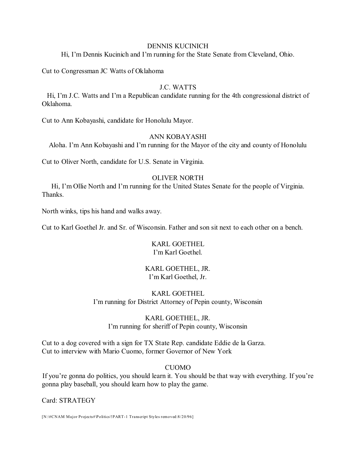### DENNIS KUCINICH

Hi, I'm Dennis Kucinich and I'm running for the State Senate from Cleveland, Ohio.

Cut to Congressman JC Watts of Oklahoma

# J.C. WATTS

Hi, I'm J.C. Watts and I'm a Republican candidate running for the 4th congressional district of Oklahoma.

Cut to Ann Kobayashi, candidate for Honolulu Mayor.

# ANN KOBAYASHI

Aloha. I'm Ann Kobayashi and I'm running for the Mayor of the city and county of Honolulu

Cut to Oliver North, candidate for U.S. Senate in Virginia.

# OLIVER NORTH

Hi, I'm Ollie North and I'm running for the United States Senate for the people of Virginia. Thanks.

North winks, tips his hand and walks away.

Cut to Karl Goethel Jr. and Sr. of Wisconsin. Father and son sit next to each other on a bench.

# KARL GOETHEL I'm Karl Goethel.

# KARL GOETHEL, JR. I'm Karl Goethel, Jr.

# KARL GOETHEL I'm running for District Attorney of Pepin county, Wisconsin

# KARL GOETHEL, JR. I'm running for sheriff of Pepin county, Wisconsin

Cut to a dog covered with a sign for TX State Rep. candidate Eddie de la Garza. Cut to interview with Mario Cuomo, former Governor of New York

# **CUOMO**

If you're gonna do politics, you should learn it. You should be that way with everything. If you're gonna play baseball, you should learn how to play the game.

Card: STRATEGY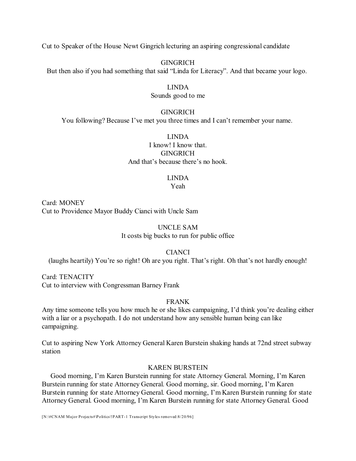Cut to Speaker of the House Newt Gingrich lecturing an aspiring congressional candidate

**GINGRICH** But then also if you had something that said "Linda for Literacy". And that became your logo.

# LINDA

### Sounds good to me

#### GINGRICH

You following? Because I've met you three times and I can't remember your name.

LINDA

I know! I know that. **GINGRICH** And that's because there's no hook.

# LINDA

Yeah

Card: MONEY Cut to Providence Mayor Buddy Cianci with Uncle Sam

# UNCLE SAM It costs big bucks to run for public office

# CIANCI

(laughs heartily) You're so right! Oh are you right. That's right. Oh that's not hardly enough!

Card: TENACITY Cut to interview with Congressman Barney Frank

# FRANK

Any time someone tells you how much he or she likes campaigning, I'd think you're dealing either with a liar or a psychopath. I do not understand how any sensible human being can like campaigning.

Cut to aspiring New York Attorney General Karen Burstein shaking hands at 72nd street subway station

### KAREN BURSTEIN

Good morning, I'm Karen Burstein running for state Attorney General. Morning, I'm Karen Burstein running for state Attorney General. Good morning, sir. Good morning, I'm Karen Burstein running for state Attorney General. Good morning, I'm Karen Burstein running for state Attorney General. Good morning, I'm Karen Burstein running for state Attorney General. Good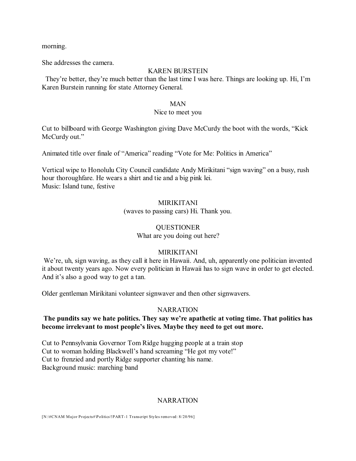morning.

She addresses the camera.

### KAREN BURSTEIN

They're better, they're much better than the last time I was here. Things are looking up. Hi, I'm Karen Burstein running for state Attorney General.

#### MAN

### Nice to meet you

Cut to billboard with George Washington giving Dave McCurdy the boot with the words, "Kick McCurdy out."

Animated title over finale of "America" reading "Vote for Me: Politics in America"

Vertical wipe to Honolulu City Council candidate Andy Mirikitani "sign waving" on a busy, rush hour thoroughfare. He wears a shirt and tie and a big pink lei. Music: Island tune, festive

# MIRIKITANI

(waves to passing cars) Hi. Thank you.

### **OUESTIONER**

What are you doing out here?

### MIRIKITANI

We're, uh, sign waving, as they call it here in Hawaii. And, uh, apparently one politician invented it about twenty years ago. Now every politician in Hawaii has to sign wave in order to get elected. And it's also a good way to get a tan.

Older gentleman Mirikitani volunteer signwaver and then other signwavers.

### **NARRATION**

# **The pundits say we hate politics. They say we're apathetic at voting time. That politics has become irrelevant to most people's lives. Maybe they need to get out more.**

Cut to Pennsylvania Governor Tom Ridge hugging people at a train stop Cut to woman holding Blackwell's hand screaming "He got my vote!" Cut to frenzied and portly Ridge supporter chanting his name. Background music: marching band

# **NARRATION**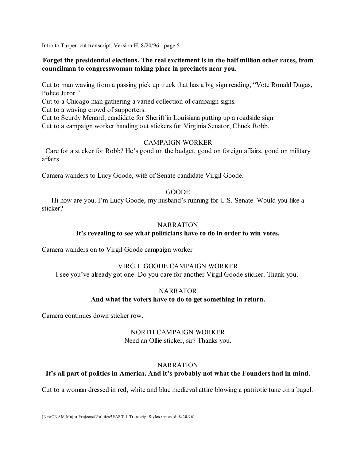# **Forget the presidential elections. The real excitement is in the half million other races, from councilman to congresswoman taking place in precincts near you.**

Cut to man waving from a passing pick up truck that has a big sign reading, "Vote Ronald Dugas, Police Juror."

Cut to a Chicago man gathering a varied collection of campaign signs.

Cut to a waving crowd of supporters.

Cut to Scurdy Menard, candidate for Sheriff in Louisiana putting up a roadside sign.

Cut to a campaign worker handing out stickers for Virginia Senator, Chuck Robb.

### CAMPAIGN WORKER

Care for a sticker for Robb? He's good on the budget, good on foreign affairs, good on military affairs.

Camera wanders to Lucy Goode, wife of Senate candidate Virgil Goode.

### GOODE

Hi how are you. I'm Lucy Goode, my husband's running for U.S. Senate. Would you like a sticker?

### **NARRATION**

### **It's revealing to see what politicians have to do in order to win votes.**

Camera wanders on to Virgil Goode campaign worker

### VIRGIL GOODE CAMPAIGN WORKER

I see you've already got one. Do you care for another Virgil Goode sticker. Thank you.

### **NARRATOR**

### **And what the voters have to do to get something in return.**

Camera continues down sticker row.

# NORTH CAMPAIGN WORKER

Need an Ollie sticker, sir? Thanks you.

# **NARRATION**

# **It's all part of politics in America. And it's probably not what the Founders had in mind.**

Cut to a woman dressed in red, white and blue medieval attire blowing a patriotic tune on a bugel.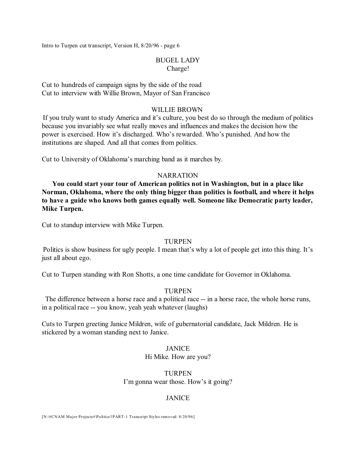# BUGEL LADY Charge!

Cut to hundreds of campaign signs by the side of the road Cut to interview with Willie Brown, Mayor of San Francisco

#### WILLIE BROWN

If you truly want to study America and it's culture, you best do so through the medium of politics because you invariably see what really moves and influences and makes the decision how the power is exercised. How it's discharged. Who's rewarded. Who's punished. And how the institutions are shaped. And all that comes from politics.

Cut to University of Oklahoma's marching band as it marches by.

#### **NARRATION**

**You could start your tour of American politics not in Washington, but in a place like Norman, Oklahoma, where the only thing bigger than politics is football, and where it helps to have a guide who knows both games equally well. Someone like Democratic party leader, Mike Turpen.**

Cut to standup interview with Mike Turpen.

#### **TURPEN**

Politics is show business for ugly people. I mean that's why a lot of people get into this thing. It's just all about ego.

Cut to Turpen standing with Ron Shotts, a one time candidate for Governor in Oklahoma.

### TURPEN

The difference between a horse race and a political race -- in a horse race, the whole horse runs, in a political race -- you know, yeah yeah whatever (laughs)

Cuts to Turpen greeting Janice Mildren, wife of gubernatorial candidate, Jack Mildren. He is stickered by a woman standing next to Janice.

### JANICE

Hi Mike. How are you?

TURPEN I'm gonna wear those. How's it going?

# **JANICE**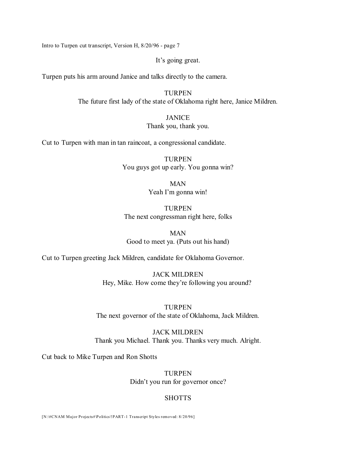It's going great.

Turpen puts his arm around Janice and talks directly to the camera.

TURPEN The future first lady of the state of Oklahoma right here, Janice Mildren.

# JANICE

### Thank you, thank you.

Cut to Turpen with man in tan raincoat, a congressional candidate.

TURPEN You guys got up early. You gonna win?

# MAN Yeah I'm gonna win!

# TURPEN The next congressman right here, folks

### MAN Good to meet ya. (Puts out his hand)

Cut to Turpen greeting Jack Mildren, candidate for Oklahoma Governor.

JACK MILDREN Hey, Mike. How come they're following you around?

TURPEN The next governor of the state of Oklahoma, Jack Mildren.

JACK MILDREN Thank you Michael. Thank you. Thanks very much. Alright.

Cut back to Mike Turpen and Ron Shotts

TURPEN Didn't you run for governor once?

# **SHOTTS**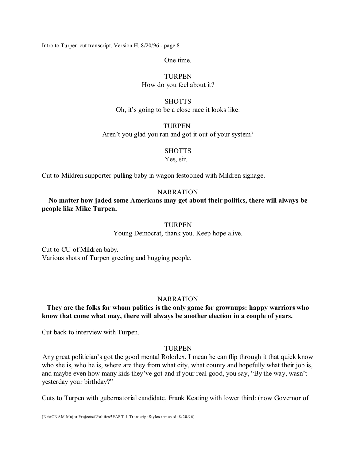One time.

# **TURPEN** How do you feel about it?

# **SHOTTS** Oh, it's going to be a close race it looks like.

**TURPEN** Aren't you glad you ran and got it out of your system?

### **SHOTTS**

Yes, sir.

Cut to Mildren supporter pulling baby in wagon festooned with Mildren signage.

# **NARRATION**

**No matter how jaded some Americans may get about their politics, there will always be people like Mike Turpen.**

### TURPEN

Young Democrat, thank you. Keep hope alive.

Cut to CU of Mildren baby. Various shots of Turpen greeting and hugging people.

# **NARRATION**

# **They are the folks for whom politics is the only game for grownups: happy warriors who know that come what may, there will always be another election in a couple of years.**

Cut back to interview with Turpen.

# TURPEN

Any great politician's got the good mental Rolodex, I mean he can flip through it that quick know who she is, who he is, where are they from what city, what county and hopefully what their job is, and maybe even how many kids they've got and if your real good, you say, "By the way, wasn't yesterday your birthday?"

Cuts to Turpen with gubernatorial candidate, Frank Keating with lower third: (now Governor of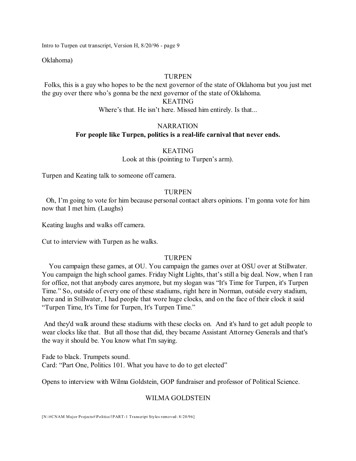Oklahoma)

### TURPEN

Folks, this is a guy who hopes to be the next governor of the state of Oklahoma but you just met the guy over there who's gonna be the next governor of the state of Oklahoma.

### KEATING

Where's that. He isn't here. Missed him entirely. Is that...

# **NARRATION For people like Turpen, politics is a real-life carnival that never ends.**

### KEATING

Look at this (pointing to Turpen's arm).

Turpen and Keating talk to someone off camera.

### TURPEN

Oh, I'm going to vote for him because personal contact alters opinions. I'm gonna vote for him now that I met him. (Laughs)

Keating laughs and walks off camera.

Cut to interview with Turpen as he walks.

### **TURPEN**

You campaign these games, at OU. You campaign the games over at OSU over at Stillwater. You campaign the high school games. Friday Night Lights, that's still a big deal. Now, when I ran for office, not that anybody cares anymore, but my slogan was "It's Time for Turpen, it's Turpen Time." So, outside of every one of these stadiums, right here in Norman, outside every stadium, here and in Stillwater, I had people that wore huge clocks, and on the face of their clock it said "Turpen Time, It's Time for Turpen, It's Turpen Time."

And they'd walk around these stadiums with these clocks on. And it's hard to get adult people to wear clocks like that. But all those that did, they became Assistant Attorney Generals and that's the way it should be. You know what I'm saying.

Fade to black. Trumpets sound. Card: "Part One, Politics 101. What you have to do to get elected"

Opens to interview with Wilma Goldstein, GOP fundraiser and professor of Political Science.

# WILMA GOLDSTEIN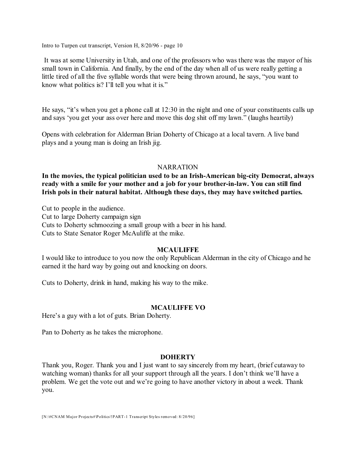It was at some University in Utah, and one of the professors who was there was the mayor of his small town in California. And finally, by the end of the day when all of us were really getting a little tired of all the five syllable words that were being thrown around, he says, "you want to know what politics is? I'll tell you what it is."

He says, "it's when you get a phone call at 12:30 in the night and one of your constituents calls up and says 'you get your ass over here and move this dog shit off my lawn." (laughs heartily)

Opens with celebration for Alderman Brian Doherty of Chicago at a local tavern. A live band plays and a young man is doing an Irish jig.

### NARRATION

**In the movies, the typical politician used to be an Irish-American big-city Democrat, always ready with a smile for your mother and a job for your brother-in-law. You can still find Irish pols in their natural habitat. Although these days, they may have switched parties.** 

Cut to people in the audience. Cut to large Doherty campaign sign Cuts to Doherty schmoozing a small group with a beer in his hand. Cuts to State Senator Roger McAuliffe at the mike.

# **MCAULIFFE**

I would like to introduce to you now the only Republican Alderman in the city of Chicago and he earned it the hard way by going out and knocking on doors.

Cuts to Doherty, drink in hand, making his way to the mike.

# **MCAULIFFE VO**

Here's a guy with a lot of guts. Brian Doherty.

Pan to Doherty as he takes the microphone.

# **DOHERTY**

Thank you, Roger. Thank you and I just want to say sincerely from my heart, (brief cutaway to watching woman) thanks for all your support through all the years. I don't think we'll have a problem. We get the vote out and we're going to have another victory in about a week. Thank you.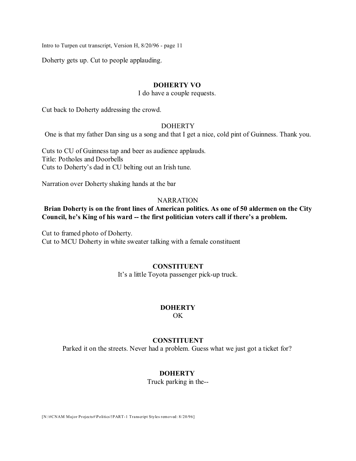Doherty gets up. Cut to people applauding.

#### **DOHERTY VO**

#### I do have a couple requests.

Cut back to Doherty addressing the crowd.

### **DOHERTY**

One is that my father Dan sing us a song and that I get a nice, cold pint of Guinness. Thank you.

Cuts to CU of Guinness tap and beer as audience applauds. Title: Potholes and Doorbells Cuts to Doherty's dad in CU belting out an Irish tune.

Narration over Doherty shaking hands at the bar

### **NARRATION**

# **Brian Doherty is on the front lines of American politics. As one of 50 aldermen on the City Council, he's King of his ward -- the first politician voters call if there's a problem.**

Cut to framed photo of Doherty. Cut to MCU Doherty in white sweater talking with a female constituent

### **CONSTITUENT**

It's a little Toyota passenger pick-up truck.

### **DOHERTY**

 $\Omega$ 

### **CONSTITUENT**

Parked it on the streets. Never had a problem. Guess what we just got a ticket for?

### **DOHERTY**

Truck parking in the--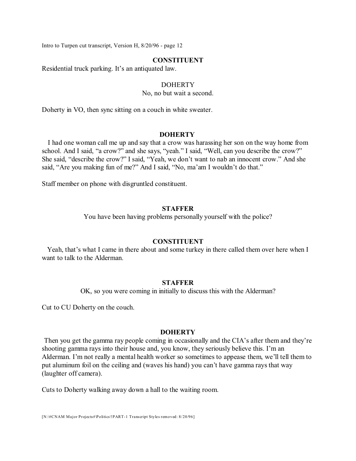#### **CONSTITUENT**

Residential truck parking. It's an antiquated law.

### DOHERTY

No, no but wait a second.

Doherty in VO, then sync sitting on a couch in white sweater.

### **DOHERTY**

I had one woman call me up and say that a crow was harassing her son on the way home from school. And I said, "a crow?" and she says, "yeah." I said, "Well, can you describe the crow?" She said, "describe the crow?" I said, "Yeah, we don't want to nab an innocent crow." And she said, "Are you making fun of me?" And I said, "No, ma'am I wouldn't do that."

Staff member on phone with disgruntled constituent.

#### **STAFFER**

You have been having problems personally yourself with the police?

#### **CONSTITUENT**

Yeah, that's what I came in there about and some turkey in there called them over here when I want to talk to the Alderman.

#### **STAFFER**

OK, so you were coming in initially to discuss this with the Alderman?

Cut to CU Doherty on the couch.

#### **DOHERTY**

Then you get the gamma ray people coming in occasionally and the CIA's after them and they're shooting gamma rays into their house and, you know, they seriously believe this. I'm an Alderman. I'm not really a mental health worker so sometimes to appease them, we'll tell them to put aluminum foil on the ceiling and (waves his hand) you can't have gamma rays that way (laughter off camera).

Cuts to Doherty walking away down a hall to the waiting room.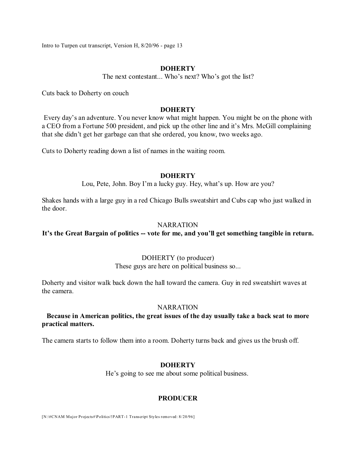### **DOHERTY**

The next contestant... Who's next? Who's got the list?

Cuts back to Doherty on couch

### **DOHERTY**

Every day's an adventure. You never know what might happen. You might be on the phone with a CEO from a Fortune 500 president, and pick up the other line and it's Mrs. McGill complaining that she didn't get her garbage can that she ordered, you know, two weeks ago.

Cuts to Doherty reading down a list of names in the waiting room.

### **DOHERTY**

Lou, Pete, John. Boy I'm a lucky guy. Hey, what's up. How are you?

Shakes hands with a large guy in a red Chicago Bulls sweatshirt and Cubs cap who just walked in the door.

### NARRATION

### **It's the Great Bargain of politics -- vote for me, and you'll get something tangible in return.**

### DOHERTY (to producer)

These guys are here on political business so...

Doherty and visitor walk back down the hall toward the camera. Guy in red sweatshirt waves at the camera.

#### NARRATION

### **Because in American politics, the great issues of the day usually take a back seat to more practical matters.**

The camera starts to follow them into a room. Doherty turns back and gives us the brush off.

### **DOHERTY**

He's going to see me about some political business.

### **PRODUCER**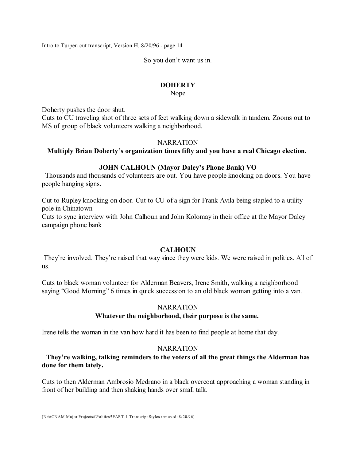So you don't want us in.

### **DOHERTY**

Nope

Doherty pushes the door shut.

Cuts to CU traveling shot of three sets of feet walking down a sidewalk in tandem. Zooms out to MS of group of black volunteers walking a neighborhood.

### **NARRATION**

### **Multiply Brian Doherty's organization times fifty and you have a real Chicago election.**

### **JOHN CALHOUN (Mayor Daley's Phone Bank) VO**

Thousands and thousands of volunteers are out. You have people knocking on doors. You have people hanging signs.

Cut to Rupley knocking on door. Cut to CU of a sign for Frank Avila being stapled to a utility pole in Chinatown

Cuts to sync interview with John Calhoun and John Kolomay in their office at the Mayor Daley campaign phone bank

### **CALHOUN**

They're involved. They're raised that way since they were kids. We were raised in politics. All of us.

Cuts to black woman volunteer for Alderman Beavers, Irene Smith, walking a neighborhood saying "Good Morning" 6 times in quick succession to an old black woman getting into a van.

#### NARRATION

# **Whatever the neighborhood, their purpose is the same.**

Irene tells the woman in the van how hard it has been to find people at home that day.

#### **NARRATION**

**They're walking, talking reminders to the voters of all the great things the Alderman has done for them lately.**

Cuts to then Alderman Ambrosio Medrano in a black overcoat approaching a woman standing in front of her building and then shaking hands over small talk.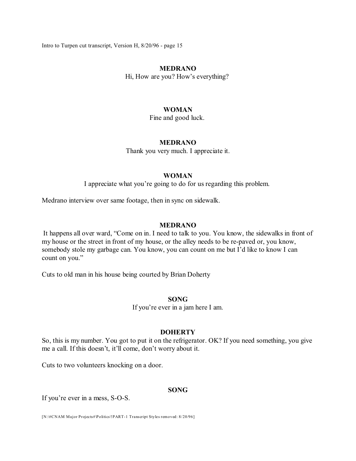### **MEDRANO**

Hi, How are you? How's everything?

### **WOMAN**

Fine and good luck.

#### **MEDRANO**

Thank you very much. I appreciate it.

#### **WOMAN**

I appreciate what you're going to do for us regarding this problem.

Medrano interview over same footage, then in sync on sidewalk.

### **MEDRANO**

It happens all over ward, "Come on in. I need to talk to you. You know, the sidewalks in front of my house or the street in front of my house, or the alley needs to be re-paved or, you know, somebody stole my garbage can. You know, you can count on me but I'd like to know I can count on you."

Cuts to old man in his house being courted by Brian Doherty

### **SONG**

If you're ever in a jam here I am.

#### **DOHERTY**

So, this is my number. You got to put it on the refrigerator. OK? If you need something, you give me a call. If this doesn't, it'll come, don't worry about it.

Cuts to two volunteers knocking on a door.

#### **SONG**

If you're ever in a mess, S-O-S.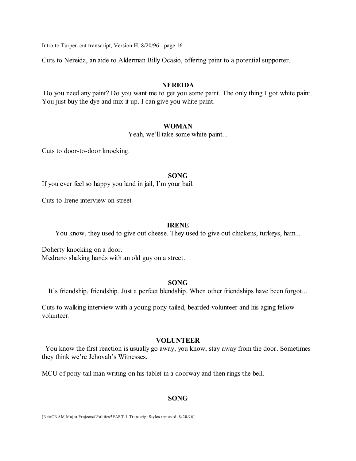Cuts to Nereida, an aide to Alderman Billy Ocasio, offering paint to a potential supporter.

#### **NEREIDA**

Do you need any paint? Do you want me to get you some paint. The only thing I got white paint. You just buy the dye and mix it up. I can give you white paint.

### **WOMAN**

Yeah, we'll take some white paint...

Cuts to door-to-door knocking.

#### **SONG**

If you ever feel so happy you land in jail, I'm your bail.

Cuts to Irene interview on street

### **IRENE**

You know, they used to give out cheese. They used to give out chickens, turkeys, ham...

Doherty knocking on a door. Medrano shaking hands with an old guy on a street.

#### **SONG**

It's friendship, friendship. Just a perfect blendship. When other friendships have been forgot...

Cuts to walking interview with a young pony-tailed, bearded volunteer and his aging fellow volunteer.

#### **VOLUNTEER**

You know the first reaction is usually go away, you know, stay away from the door. Sometimes they think we're Jehovah's Witnesses.

MCU of pony-tail man writing on his tablet in a doorway and then rings the bell.

### **SONG**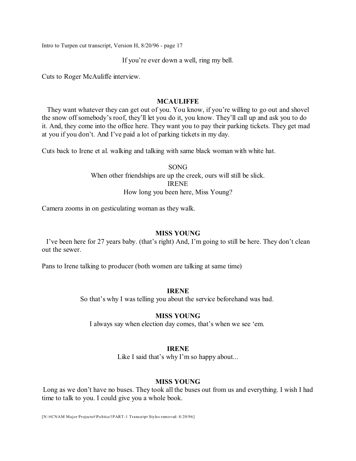If you're ever down a well, ring my bell.

Cuts to Roger McAuliffe interview.

#### **MCAULIFFE**

They want whatever they can get out of you. You know, if you're willing to go out and shovel the snow off somebody's roof, they'll let you do it, you know. They'll call up and ask you to do it. And, they come into the office here. They want you to pay their parking tickets. They get mad at you if you don't. And I've paid a lot of parking tickets in my day.

Cuts back to Irene et al. walking and talking with same black woman with white hat.

SONG When other friendships are up the creek, ours will still be slick. IRENE How long you been here, Miss Young?

Camera zooms in on gesticulating woman as they walk.

#### **MISS YOUNG**

I've been here for 27 years baby. (that's right) And, I'm going to still be here. They don't clean out the sewer.

Pans to Irene talking to producer (both women are talking at same time)

### **IRENE**

So that's why I was telling you about the service beforehand was bad.

#### **MISS YOUNG**

I always say when election day comes, that's when we see 'em.

### **IRENE**

Like I said that's why I'm so happy about...

### **MISS YOUNG**

Long as we don't have no buses. They took all the buses out from us and everything. I wish I had time to talk to you. I could give you a whole book.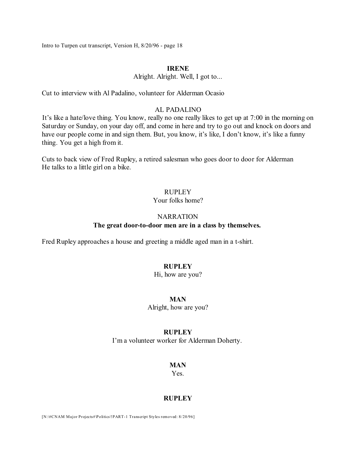# **IRENE**

Alright. Alright. Well, I got to...

Cut to interview with Al Padalino, volunteer for Alderman Ocasio

### AL PADALINO

It's like a hate/love thing. You know, really no one really likes to get up at 7:00 in the morning on Saturday or Sunday, on your day off, and come in here and try to go out and knock on doors and have our people come in and sign them. But, you know, it's like, I don't know, it's like a funny thing. You get a high from it.

Cuts to back view of Fred Rupley, a retired salesman who goes door to door for Alderman He talks to a little girl on a bike.

# RUPLEY

### Your folks home?

#### NARRATION

### **The great door-to-door men are in a class by themselves.**

Fred Rupley approaches a house and greeting a middle aged man in a t-shirt.

### **RUPLEY**

### Hi, how are you?

### **MAN**

Alright, how are you?

#### **RUPLEY**

I'm a volunteer worker for Alderman Doherty.

#### **MAN**

Yes.

### **RUPLEY**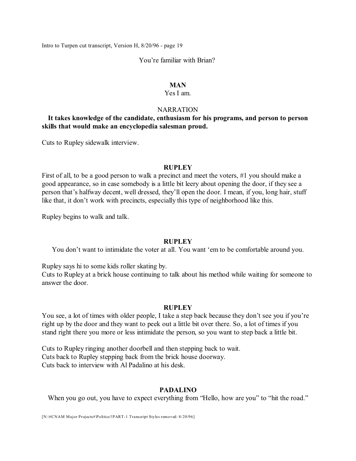#### You're familiar with Brian?

#### **MAN**

#### Yes I am.

### **NARRATION**

# **It takes knowledge of the candidate, enthusiasm for his programs, and person to person skills that would make an encyclopedia salesman proud.**

Cuts to Rupley sidewalk interview.

#### **RUPLEY**

First of all, to be a good person to walk a precinct and meet the voters, #1 you should make a good appearance, so in case somebody is a little bit leery about opening the door, if they see a person that's halfway decent, well dressed, they'll open the door. I mean, if you, long hair, stuff like that, it don't work with precincts, especially this type of neighborhood like this.

Rupley begins to walk and talk.

#### **RUPLEY**

You don't want to intimidate the voter at all. You want 'em to be comfortable around you.

Rupley says hi to some kids roller skating by.

Cuts to Rupley at a brick house continuing to talk about his method while waiting for someone to answer the door.

#### **RUPLEY**

You see, a lot of times with older people, I take a step back because they don't see you if you're right up by the door and they want to peek out a little bit over there. So, a lot of times if you stand right there you more or less intimidate the person, so you want to step back a little bit.

Cuts to Rupley ringing another doorbell and then stepping back to wait. Cuts back to Rupley stepping back from the brick house doorway. Cuts back to interview with Al Padalino at his desk.

### **PADALINO**

When you go out, you have to expect everything from "Hello, how are you" to "hit the road."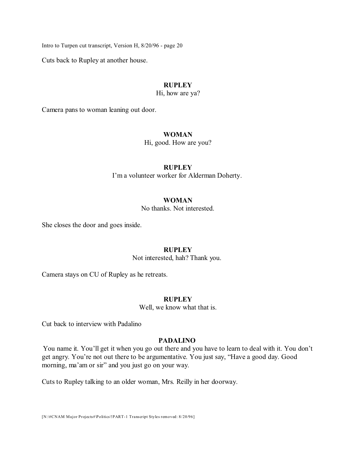Cuts back to Rupley at another house.

### **RUPLEY**

Hi, how are ya?

Camera pans to woman leaning out door.

#### **WOMAN**

Hi, good. How are you?

### **RUPLEY**

I'm a volunteer worker for Alderman Doherty.

### **WOMAN**

No thanks. Not interested.

She closes the door and goes inside.

#### **RUPLEY**

Not interested, hah? Thank you.

Camera stays on CU of Rupley as he retreats.

# **RUPLEY**

Well, we know what that is.

Cut back to interview with Padalino

# **PADALINO**

You name it. You'll get it when you go out there and you have to learn to deal with it. You don't get angry. You're not out there to be argumentative. You just say, "Have a good day. Good morning, ma'am or sir" and you just go on your way.

Cuts to Rupley talking to an older woman, Mrs. Reilly in her doorway.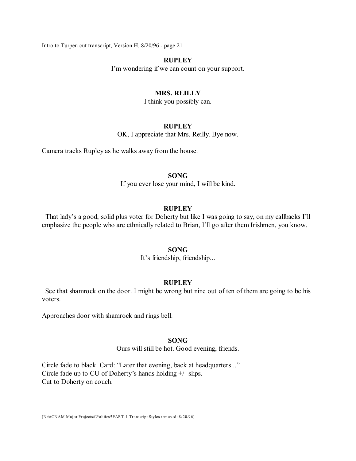#### **RUPLEY**

I'm wondering if we can count on your support.

# **MRS. REILLY**

I think you possibly can.

# **RUPLEY**

OK, I appreciate that Mrs. Reilly. Bye now.

Camera tracks Rupley as he walks away from the house.

#### **SONG**

If you ever lose your mind, I will be kind.

### **RUPLEY**

That lady's a good, solid plus voter for Doherty but like I was going to say, on my callbacks I'll emphasize the people who are ethnically related to Brian, I'll go after them Irishmen, you know.

#### **SONG**

It's friendship, friendship...

#### **RUPLEY**

See that shamrock on the door. I might be wrong but nine out of ten of them are going to be his voters.

Approaches door with shamrock and rings bell.

### **SONG**

Ours will still be hot. Good evening, friends.

Circle fade to black. Card: "Later that evening, back at headquarters..." Circle fade up to CU of Doherty's hands holding +/- slips. Cut to Doherty on couch.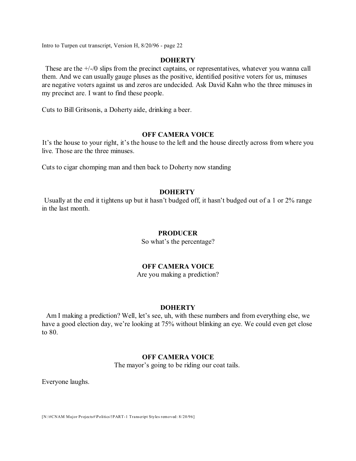#### **DOHERTY**

These are the +/-/0 slips from the precinct captains, or representatives, whatever you wanna call them. And we can usually gauge pluses as the positive, identified positive voters for us, minuses are negative voters against us and zeros are undecided. Ask David Kahn who the three minuses in my precinct are. I want to find these people.

Cuts to Bill Gritsonis, a Doherty aide, drinking a beer.

### **OFF CAMERA VOICE**

It's the house to your right, it's the house to the left and the house directly across from where you live. Those are the three minuses.

Cuts to cigar chomping man and then back to Doherty now standing

### **DOHERTY**

Usually at the end it tightens up but it hasn't budged off, it hasn't budged out of a 1 or 2% range in the last month.

#### **PRODUCER**

So what's the percentage?

### **OFF CAMERA VOICE**

Are you making a prediction?

#### **DOHERTY**

Am I making a prediction? Well, let's see, uh, with these numbers and from everything else, we have a good election day, we're looking at 75% without blinking an eye. We could even get close to 80.

#### **OFF CAMERA VOICE**

The mayor's going to be riding our coat tails.

Everyone laughs.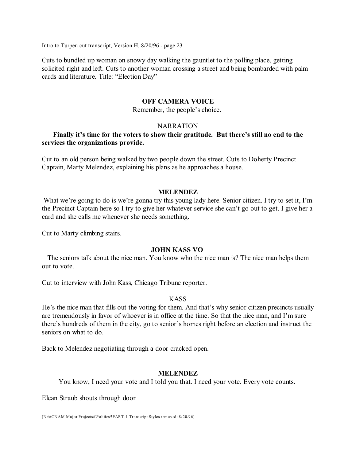Cuts to bundled up woman on snowy day walking the gauntlet to the polling place, getting solicited right and left. Cuts to another woman crossing a street and being bombarded with palm cards and literature. Title: "Election Day"

#### **OFF CAMERA VOICE**

#### Remember, the people's choice.

#### **NARRATION**

### **Finally it's time for the voters to show their gratitude. But there's still no end to the services the organizations provide.**

Cut to an old person being walked by two people down the street. Cuts to Doherty Precinct Captain, Marty Melendez, explaining his plans as he approaches a house.

### **MELENDEZ**

What we're going to do is we're gonna try this young lady here. Senior citizen. I try to set it, I'm the Precinct Captain here so I try to give her whatever service she can't go out to get. I give her a card and she calls me whenever she needs something.

Cut to Marty climbing stairs.

### **JOHN KASS VO**

The seniors talk about the nice man. You know who the nice man is? The nice man helps them out to vote.

Cut to interview with John Kass, Chicago Tribune reporter.

# KASS

He's the nice man that fills out the voting for them. And that's why senior citizen precincts usually are tremendously in favor of whoever is in office at the time. So that the nice man, and I'm sure there's hundreds of them in the city, go to senior's homes right before an election and instruct the seniors on what to do.

Back to Melendez negotiating through a door cracked open.

### **MELENDEZ**

You know, I need your vote and I told you that. I need your vote. Every vote counts.

Elean Straub shouts through door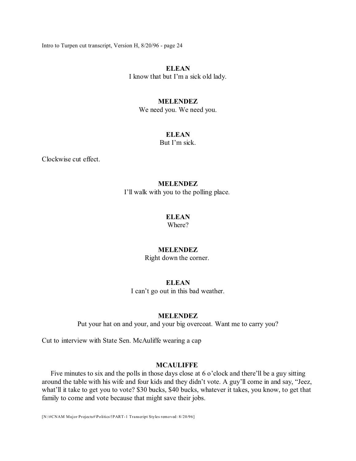# **ELEAN**

I know that but I'm a sick old lady.

#### **MELENDEZ**

We need you. We need you.

# **ELEAN**

But I'm sick.

Clockwise cut effect.

#### **MELENDEZ**

I'll walk with you to the polling place.

### **ELEAN**

Where?

### **MELENDEZ**

Right down the corner.

### **ELEAN**

I can't go out in this bad weather.

#### **MELENDEZ**

Put your hat on and your, and your big overcoat. Want me to carry you?

Cut to interview with State Sen. McAuliffe wearing a cap

### **MCAULIFFE**

Five minutes to six and the polls in those days close at 6 o'clock and there'll be a guy sitting around the table with his wife and four kids and they didn't vote. A guy'll come in and say, "Jeez, what'll it take to get you to vote? \$30 bucks, \$40 bucks, whatever it takes, you know, to get that family to come and vote because that might save their jobs.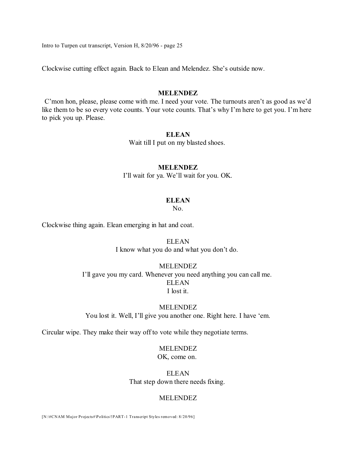Clockwise cutting effect again. Back to Elean and Melendez. She's outside now.

### **MELENDEZ**

C'mon hon, please, please come with me. I need your vote. The turnouts aren't as good as we'd like them to be so every vote counts. Your vote counts. That's why I'm here to get you. I'm here to pick you up. Please.

### **ELEAN**

Wait till I put on my blasted shoes.

### **MELENDEZ**

I'll wait for ya. We'll wait for you. OK.

#### **ELEAN**

No.

Clockwise thing again. Elean emerging in hat and coat.

**ELEAN** I know what you do and what you don't do.

### MELENDEZ

I'll gave you my card. Whenever you need anything you can call me. **ELEAN** I lost it.

#### MELENDEZ

You lost it. Well, I'll give you another one. Right here. I have 'em.

Circular wipe. They make their way off to vote while they negotiate terms.

### MELENDEZ

OK, come on.

ELEAN That step down there needs fixing.

#### MELENDEZ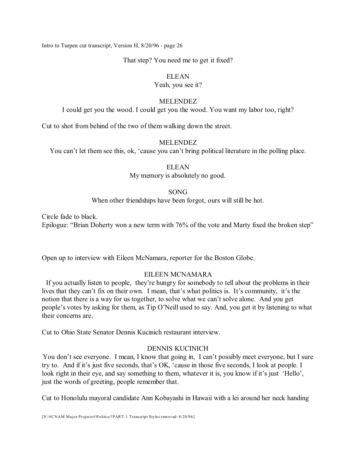That step? You need me to get it fixed?

### ELEAN

### Yeah, you see it?

### MELENDEZ

I could get you the wood. I could get you the wood. You want my labor too, right?

Cut to shot from behind of the two of them walking down the street.

# MELENDEZ

You can't let them see this, ok, 'cause you can't bring political literature in the polling place.

### ELEAN

My memory is absolutely no good.

# SONG

When other friendships have been forgot, ours will still be hot.

Circle fade to black.

Epilogue: "Brian Doherty won a new term with 76% of the vote and Marty fixed the broken step"

Open up to interview with Eileen McNamara, reporter for the Boston Globe.

# EILEEN MCNAMARA

If you actually listen to people, they're hungry for somebody to tell about the problems in their lives that they can't fix on their own. I mean, that's what politics is. It's community, it's the notion that there is a way for us together, to solve what we can't solve alone. And you get people's votes by asking for them, as Tip O'Neill used to say. And, you get it by listening to what their concerns are.

Cut to Ohio State Senator Dennis Kucinich restaurant interview.

# DENNIS KUCINICH

You don't see everyone. I mean, I know that going in, I can't possibly meet everyone, but I sure try to. And if it's just five seconds, that's OK, 'cause in those five seconds, I look at people. I look right in their eye, and say something to them, whatever it is, you know if it's just 'Hello', just the words of greeting, people remember that.

Cut to Honolulu mayoral candidate Ann Kobayashi in Hawaii with a lei around her neck handing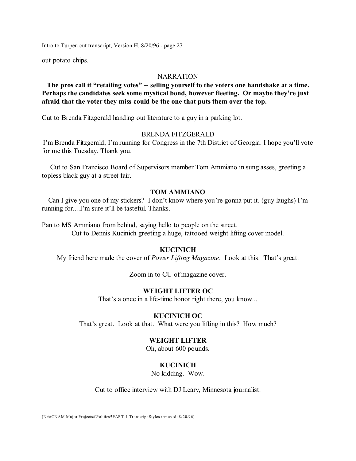out potato chips.

### **NARRATION**

# **The pros call it "retailing votes" -- selling yourself to the voters one handshake at a time. Perhaps the candidates seek some mystical bond, however fleeting. Or maybe they're just afraid that the voter they miss could be the one that puts them over the top.**

Cut to Brenda Fitzgerald handing out literature to a guy in a parking lot.

### BRENDA FITZGERALD

I'm Brenda Fitzgerald, I'm running for Congress in the 7th District of Georgia. I hope you'll vote for me this Tuesday. Thank you.

Cut to San Francisco Board of Supervisors member Tom Ammiano in sunglasses, greeting a topless black guy at a street fair.

# **TOM AMMIANO**

Can I give you one of my stickers? I don't know where you're gonna put it. (guy laughs) I'm running for....I'm sure it'll be tasteful. Thanks.

Pan to MS Ammiano from behind, saying hello to people on the street. Cut to Dennis Kucinich greeting a huge, tattooed weight lifting cover model.

# **KUCINICH**

My friend here made the cover of *Power Lifting Magazine*. Look at this. That's great.

Zoom in to CU of magazine cover.

# **WEIGHT LIFTER OC**

That's a once in a life-time honor right there, you know...

#### **KUCINICH OC**

That's great. Look at that. What were you lifting in this? How much?

### **WEIGHT LIFTER**

Oh, about 600 pounds.

### **KUCINICH**

No kidding. Wow.

Cut to office interview with DJ Leary, Minnesota journalist.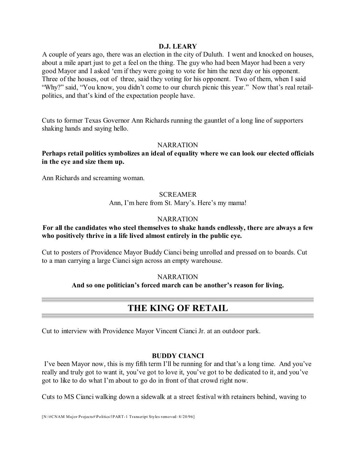### **D.J. LEARY**

A couple of years ago, there was an election in the city of Duluth. I went and knocked on houses, about a mile apart just to get a feel on the thing. The guy who had been Mayor had been a very good Mayor and I asked 'em if they were going to vote for him the next day or his opponent. Three of the houses, out of three, said they voting for his opponent. Two of them, when I said "Why?" said, "You know, you didn't come to our church picnic this year." Now that's real retailpolitics, and that's kind of the expectation people have.

Cuts to former Texas Governor Ann Richards running the gauntlet of a long line of supporters shaking hands and saying hello.

### NARRATION

**Perhaps retail politics symbolizes an ideal of equality where we can look our elected officials in the eye and size them up.**

Ann Richards and screaming woman.

### **SCREAMER**

Ann, I'm here from St. Mary's. Here's my mama!

### **NARRATION**

# **For all the candidates who steel themselves to shake hands endlessly, there are always a few who positively thrive in a life lived almost entirely in the public eye.**

Cut to posters of Providence Mayor Buddy Cianci being unrolled and pressed on to boards. Cut to a man carrying a large Cianci sign across an empty warehouse.

#### **NARRATION**

### **And so one politician's forced march can be another's reason for living.**

# **THE KING OF RETAIL**

Cut to interview with Providence Mayor Vincent Cianci Jr. at an outdoor park.

# **BUDDY CIANCI**

I've been Mayor now, this is my fifth term I'll be running for and that's a long time. And you've really and truly got to want it, you've got to love it, you've got to be dedicated to it, and you've got to like to do what I'm about to go do in front of that crowd right now.

Cuts to MS Cianci walking down a sidewalk at a street festival with retainers behind, waving to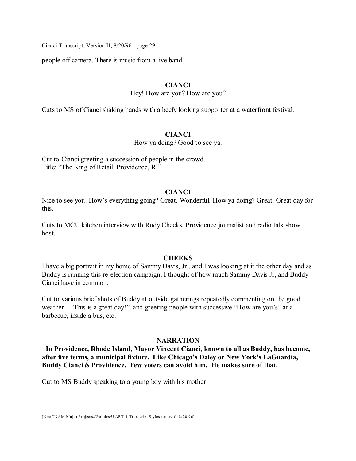people off camera. There is music from a live band.

### **CIANCI**

Hey! How are you? How are you?

Cuts to MS of Cianci shaking hands with a beefy looking supporter at a waterfront festival.

# **CIANCI**

How ya doing? Good to see ya.

Cut to Cianci greeting a succession of people in the crowd. Title: "The King of Retail. Providence, RI"

### **CIANCI**

Nice to see you. How's everything going? Great. Wonderful. How ya doing? Great. Great day for this.

Cuts to MCU kitchen interview with Rudy Cheeks, Providence journalist and radio talk show host.

### **CHEEKS**

I have a big portrait in my home of Sammy Davis, Jr., and I was looking at it the other day and as Buddy is running this re-election campaign, I thought of how much Sammy Davis Jr, and Buddy Cianci have in common.

Cut to various brief shots of Buddy at outside gatherings repeatedly commenting on the good weather --"This is a great day!" and greeting people with successive "How are you's" at a barbecue, inside a bus, etc.

### **NARRATION**

**In Providence, Rhode Island, Mayor Vincent Cianci, known to all as Buddy, has become, after five terms, a municipal fixture. Like Chicago's Daley or New York's LaGuardia, Buddy Cianci** *is* **Providence. Few voters can avoid him. He makes sure of that.**

Cut to MS Buddy speaking to a young boy with his mother.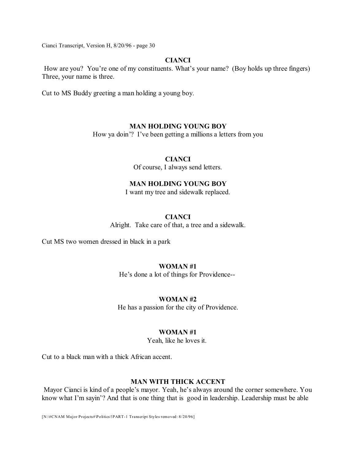### **CIANCI**

How are you? You're one of my constituents. What's your name? (Boy holds up three fingers) Three, your name is three.

Cut to MS Buddy greeting a man holding a young boy.

# **MAN HOLDING YOUNG BOY**

How ya doin'? I've been getting a millions a letters from you

### **CIANCI**

Of course, I always send letters.

# **MAN HOLDING YOUNG BOY**

I want my tree and sidewalk replaced.

# **CIANCI**

Alright. Take care of that, a tree and a sidewalk.

Cut MS two women dressed in black in a park

### **WOMAN #1**

He's done a lot of things for Providence--

# **WOMAN #2**

He has a passion for the city of Providence.

### **WOMAN #1**

Yeah, like he loves it.

Cut to a black man with a thick African accent.

# **MAN WITH THICK ACCENT**

Mayor Cianci is kind of a people's mayor. Yeah, he's always around the corner somewhere. You know what I'm sayin'? And that is one thing that is good in leadership. Leadership must be able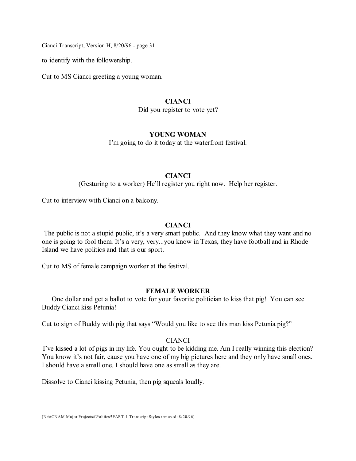to identify with the followership.

Cut to MS Cianci greeting a young woman.

#### **CIANCI**

Did you register to vote yet?

### **YOUNG WOMAN**

I'm going to do it today at the waterfront festival.

### **CIANCI**

(Gesturing to a worker) He'll register you right now. Help her register.

Cut to interview with Cianci on a balcony.

# **CIANCI**

The public is not a stupid public, it's a very smart public. And they know what they want and no one is going to fool them. It's a very, very...you know in Texas, they have football and in Rhode Island we have politics and that is our sport.

Cut to MS of female campaign worker at the festival.

# **FEMALE WORKER**

One dollar and get a ballot to vote for your favorite politician to kiss that pig! You can see Buddy Cianci kiss Petunia!

Cut to sign of Buddy with pig that says "Would you like to see this man kiss Petunia pig?"

### **CIANCI**

I've kissed a lot of pigs in my life. You ought to be kidding me. Am I really winning this election? You know it's not fair, cause you have one of my big pictures here and they only have small ones. I should have a small one. I should have one as small as they are.

Dissolve to Cianci kissing Petunia, then pig squeals loudly.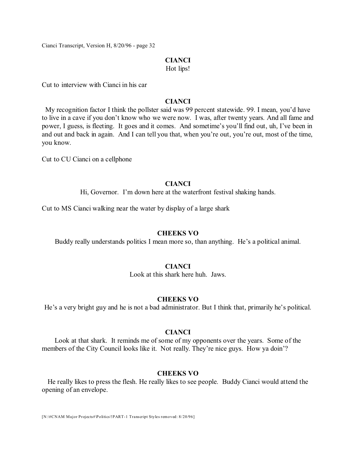#### **CIANCI**

Hot lips!

Cut to interview with Cianci in his car

### **CIANCI**

My recognition factor I think the pollster said was 99 percent statewide. 99. I mean, you'd have to live in a cave if you don't know who we were now. I was, after twenty years. And all fame and power, I guess, is fleeting. It goes and it comes. And sometime's you'll find out, uh, I've been in and out and back in again. And I can tell you that, when you're out, you're out, most of the time, you know.

Cut to CU Cianci on a cellphone

### **CIANCI**

Hi, Governor. I'm down here at the waterfront festival shaking hands.

Cut to MS Cianci walking near the water by display of a large shark

#### **CHEEKS VO**

Buddy really understands politics I mean more so, than anything. He's a political animal.

### **CIANCI**

Look at this shark here huh. Jaws.

#### **CHEEKS VO**

He's a very bright guy and he is not a bad administrator. But I think that, primarily he's political.

#### **CIANCI**

Look at that shark. It reminds me of some of my opponents over the years. Some of the members of the City Council looks like it. Not really. They're nice guys. How ya doin'?

#### **CHEEKS VO**

He really likes to press the flesh. He really likes to see people. Buddy Cianci would attend the opening of an envelope.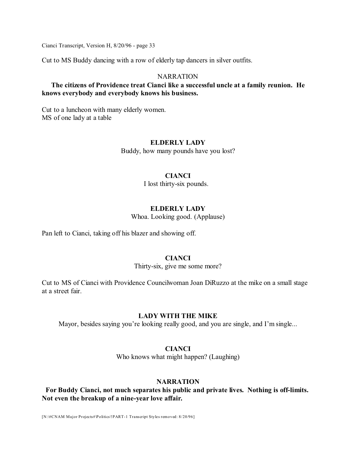Cut to MS Buddy dancing with a row of elderly tap dancers in silver outfits.

### **NARRATION**

### **The citizens of Providence treat Cianci like a successful uncle at a family reunion. He knows everybody and everybody knows his business.**

Cut to a luncheon with many elderly women. MS of one lady at a table

### **ELDERLY LADY**

Buddy, how many pounds have you lost?

### **CIANCI**

I lost thirty-six pounds.

### **ELDERLY LADY**

Whoa. Looking good. (Applause)

Pan left to Cianci, taking off his blazer and showing off.

# **CIANCI**

Thirty-six, give me some more?

Cut to MS of Cianci with Providence Councilwoman Joan DiRuzzo at the mike on a small stage at a street fair.

### **LADY WITH THE MIKE**

Mayor, besides saying you're looking really good, and you are single, and I'm single...

### **CIANCI**

Who knows what might happen? (Laughing)

# **NARRATION**

**For Buddy Cianci, not much separates his public and private lives. Nothing is off-limits. Not even the breakup of a nine-year love affair.**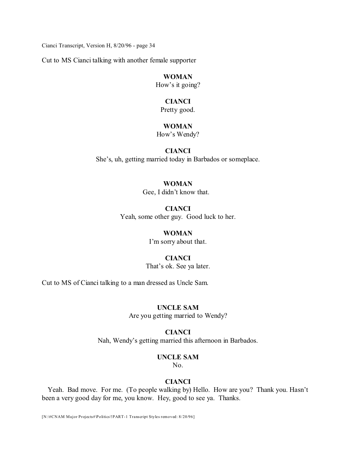Cut to MS Cianci talking with another female supporter

# **WOMAN**

How's it going?

#### **CIANCI**

Pretty good.

# **WOMAN**

How's Wendy?

# **CIANCI**

She's, uh, getting married today in Barbados or someplace.

# **WOMAN**

Gee, I didn't know that.

# **CIANCI** Yeah, some other guy. Good luck to her.

#### **WOMAN**

I'm sorry about that.

### **CIANCI**

That's ok. See ya later.

Cut to MS of Cianci talking to a man dressed as Uncle Sam.

### **UNCLE SAM**

Are you getting married to Wendy?

#### **CIANCI**

Nah, Wendy's getting married this afternoon in Barbados.

### **UNCLE SAM**

No.

### **CIANCI**

Yeah. Bad move. For me. (To people walking by) Hello. How are you? Thank you. Hasn't been a very good day for me, you know. Hey, good to see ya. Thanks.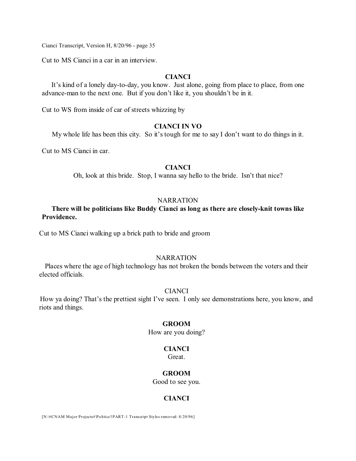Cut to MS Cianci in a car in an interview.

# **CIANCI**

It's kind of a lonely day-to-day, you know. Just alone, going from place to place, from one advance-man to the next one. But if you don't like it, you shouldn't be in it.

Cut to WS from inside of car of streets whizzing by

# **CIANCI IN VO**

My whole life has been this city. So it's tough for me to say I don't want to do things in it.

Cut to MS Cianci in car.

### **CIANCI**

Oh, look at this bride. Stop, I wanna say hello to the bride. Isn't that nice?

#### **NARRATION**

# **There will be politicians like Buddy Cianci as long as there are closely-knit towns like Providence.**

Cut to MS Cianci walking up a brick path to bride and groom

#### NARRATION

Places where the age of high technology has not broken the bonds between the voters and their elected officials.

### CIANCI

How ya doing? That's the prettiest sight I've seen. I only see demonstrations here, you know, and riots and things.

#### **GROOM**

How are you doing?

#### **CIANCI**

Great.

#### **GROOM**

Good to see you.

# **CIANCI**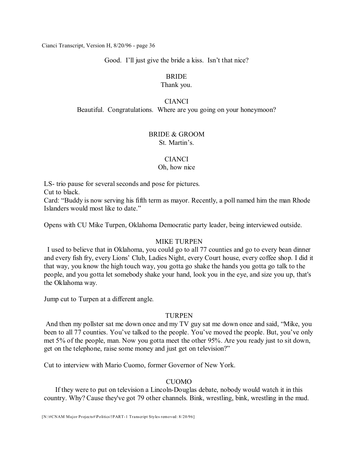Good. I'll just give the bride a kiss. Isn't that nice?

# BRIDE

### Thank you.

### **CIANCI**

Beautiful. Congratulations. Where are you going on your honeymoon?

# BRIDE & GROOM

St. Martin's.

# CIANCI

### Oh, how nice

LS- trio pause for several seconds and pose for pictures.

Cut to black.

Card: "Buddy is now serving his fifth term as mayor. Recently, a poll named him the man Rhode Islanders would most like to date."

Opens with CU Mike Turpen, Oklahoma Democratic party leader, being interviewed outside.

# MIKE TURPEN

I used to believe that in Oklahoma, you could go to all 77 counties and go to every bean dinner and every fish fry, every Lions' Club, Ladies Night, every Court house, every coffee shop. I did it that way, you know the high touch way, you gotta go shake the hands you gotta go talk to the people, and you gotta let somebody shake your hand, look you in the eye, and size you up, that's the Oklahoma way.

Jump cut to Turpen at a different angle.

# **TURPEN**

And then my pollster sat me down once and my TV guy sat me down once and said, "Mike, you been to all 77 counties. You've talked to the people. You've moved the people. But, you've only met 5% of the people, man. Now you gotta meet the other 95%. Are you ready just to sit down, get on the telephone, raise some money and just get on television?"

Cut to interview with Mario Cuomo, former Governor of New York.

# **CUOMO**

If they were to put on television a Lincoln-Douglas debate, nobody would watch it in this country. Why? Cause they've got 79 other channels. Bink, wrestling, bink, wrestling in the mud.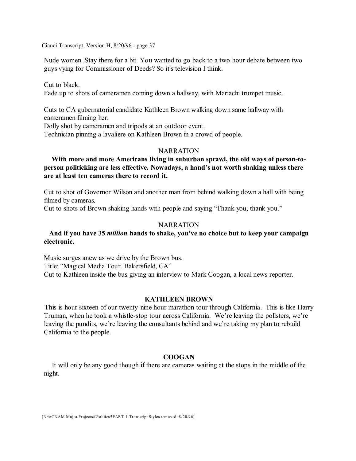Nude women. Stay there for a bit. You wanted to go back to a two hour debate between two guys vying for Commissioner of Deeds? So it's television I think.

Cut to black. Fade up to shots of cameramen coming down a hallway, with Mariachi trumpet music.

Cuts to CA gubernatorial candidate Kathleen Brown walking down same hallway with cameramen filming her.

Dolly shot by cameramen and tripods at an outdoor event.

Technician pinning a lavaliere on Kathleen Brown in a crowd of people.

#### NARRATION

# **With more and more Americans living in suburban sprawl, the old ways of person-toperson politicking are less effective. Nowadays, a hand's not worth shaking unless there are at least ten cameras there to record it.**

Cut to shot of Governor Wilson and another man from behind walking down a hall with being filmed by cameras.

Cut to shots of Brown shaking hands with people and saying "Thank you, thank you."

### **NARRATION**

# **And if you have 35** *million* **hands to shake, you've no choice but to keep your campaign electronic.**

Music surges anew as we drive by the Brown bus. Title: "Magical Media Tour. Bakersfield, CA" Cut to Kathleen inside the bus giving an interview to Mark Coogan, a local news reporter.

# **KATHLEEN BROWN**

This is hour sixteen of our twenty-nine hour marathon tour through California. This is like Harry Truman, when he took a whistle-stop tour across California. We're leaving the pollsters, we're leaving the pundits, we're leaving the consultants behind and we're taking my plan to rebuild California to the people.

### **COOGAN**

It will only be any good though if there are cameras waiting at the stops in the middle of the night.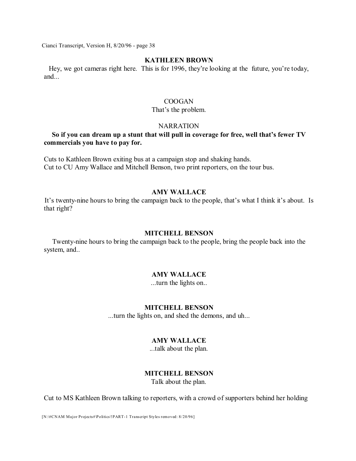#### **KATHLEEN BROWN**

Hey, we got cameras right here. This is for 1996, they're looking at the future, you're today, and...

### COOGAN

#### That's the problem.

### **NARRATION**

# **So if you can dream up a stunt that will pull in coverage for free, well that's fewer TV commercials you have to pay for.**

Cuts to Kathleen Brown exiting bus at a campaign stop and shaking hands. Cut to CU Amy Wallace and Mitchell Benson, two print reporters, on the tour bus.

# **AMY WALLACE**

It's twenty-nine hours to bring the campaign back to the people, that's what I think it's about. Is that right?

#### **MITCHELL BENSON**

Twenty-nine hours to bring the campaign back to the people, bring the people back into the system, and..

#### **AMY WALLACE**

...turn the lights on..

### **MITCHELL BENSON**

...turn the lights on, and shed the demons, and uh...

### **AMY WALLACE**

...talk about the plan.

#### **MITCHELL BENSON**

Talk about the plan.

Cut to MS Kathleen Brown talking to reporters, with a crowd of supporters behind her holding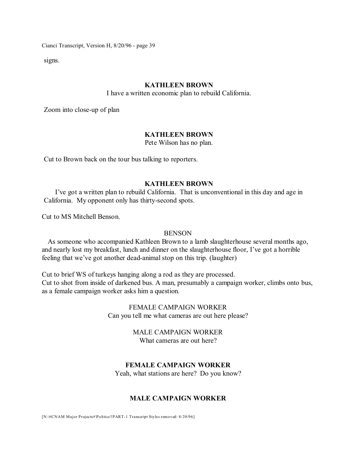signs.

#### **KATHLEEN BROWN**

I have a written economic plan to rebuild California.

Zoom into close-up of plan

### **KATHLEEN BROWN**

Pete Wilson has no plan.

Cut to Brown back on the tour bus talking to reporters.

#### **KATHLEEN BROWN**

I've got a written plan to rebuild California. That is unconventional in this day and age in California. My opponent only has thirty-second spots.

Cut to MS Mitchell Benson.

#### BENSON

As someone who accompanied Kathleen Brown to a lamb slaughterhouse several months ago, and nearly lost my breakfast, lunch and dinner on the slaughterhouse floor, I've got a horrible feeling that we've got another dead-animal stop on this trip. (laughter)

Cut to brief WS of turkeys hanging along a rod as they are processed. Cut to shot from inside of darkened bus. A man, presumably a campaign worker, climbs onto bus, as a female campaign worker asks him a question.

> FEMALE CAMPAIGN WORKER Can you tell me what cameras are out here please?

### MALE CAMPAIGN WORKER What cameras are out here?

# **FEMALE CAMPAIGN WORKER**

Yeah, what stations are here? Do you know?

### **MALE CAMPAIGN WORKER**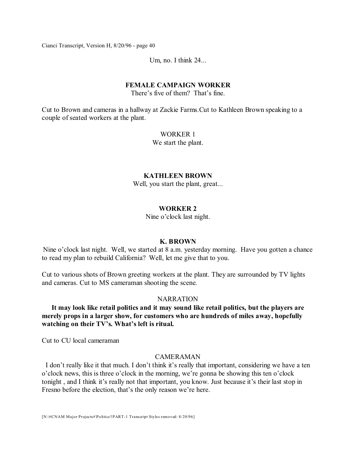Um, no. I think 24...

#### **FEMALE CAMPAIGN WORKER**

There's five of them? That's fine.

Cut to Brown and cameras in a hallway at Zackie Farms.Cut to Kathleen Brown speaking to a couple of seated workers at the plant.

### WORKER 1

We start the plant.

### **KATHLEEN BROWN**

Well, you start the plant, great...

# **WORKER 2**

Nine o'clock last night.

#### **K. BROWN**

Nine o'clock last night. Well, we started at 8 a.m. yesterday morning. Have you gotten a chance to read my plan to rebuild California? Well, let me give that to you.

Cut to various shots of Brown greeting workers at the plant. They are surrounded by TV lights and cameras. Cut to MS cameraman shooting the scene.

#### **NARRATION**

**It may look like retail politics and it may sound like retail politics, but the players are merely props in a larger show, for customers who are hundreds of miles away, hopefully watching on their TV's. What's left is ritual.** 

Cut to CU local cameraman

### CAMERAMAN

I don't really like it that much. I don't think it's really that important, considering we have a ten o'clock news, this is three o'clock in the morning, we're gonna be showing this ten o'clock tonight , and I think it's really not that important, you know. Just because it's their last stop in Fresno before the election, that's the only reason we're here.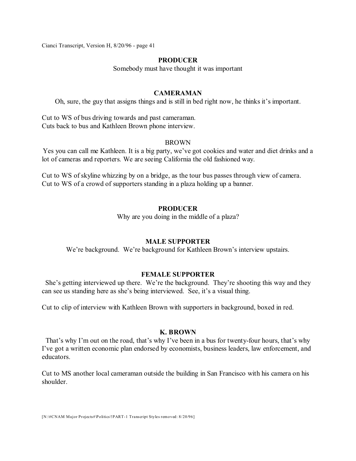### **PRODUCER**

Somebody must have thought it was important

# **CAMERAMAN**

Oh, sure, the guy that assigns things and is still in bed right now, he thinks it's important.

Cut to WS of bus driving towards and past cameraman. Cuts back to bus and Kathleen Brown phone interview.

#### BROWN

Yes you can call me Kathleen. It is a big party, we've got cookies and water and diet drinks and a lot of cameras and reporters. We are seeing California the old fashioned way.

Cut to WS of skyline whizzing by on a bridge, as the tour bus passes through view of camera. Cut to WS of a crowd of supporters standing in a plaza holding up a banner.

### **PRODUCER**

Why are you doing in the middle of a plaza?

#### **MALE SUPPORTER**

We're background. We're background for Kathleen Brown's interview upstairs.

#### **FEMALE SUPPORTER**

She's getting interviewed up there. We're the background. They're shooting this way and they can see us standing here as she's being interviewed. See, it's a visual thing.

Cut to clip of interview with Kathleen Brown with supporters in background, boxed in red.

#### **K. BROWN**

That's why I'm out on the road, that's why I've been in a bus for twenty-four hours, that's why I've got a written economic plan endorsed by economists, business leaders, law enforcement, and educators.

Cut to MS another local cameraman outside the building in San Francisco with his camera on his shoulder.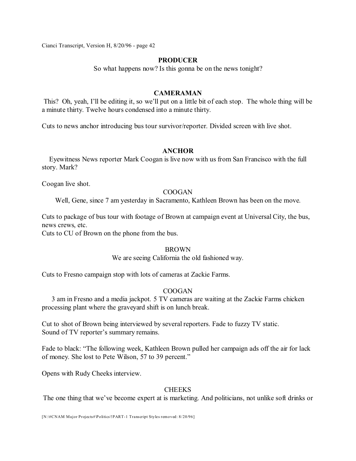### **PRODUCER**

So what happens now? Is this gonna be on the news tonight?

# **CAMERAMAN**

This? Oh, yeah, I'll be editing it, so we'll put on a little bit of each stop. The whole thing will be a minute thirty. Twelve hours condensed into a minute thirty.

Cuts to news anchor introducing bus tour survivor/reporter. Divided screen with live shot.

### **ANCHOR**

Eyewitness News reporter Mark Coogan is live now with us from San Francisco with the full story. Mark?

Coogan live shot.

### COOGAN

Well, Gene, since 7 am yesterday in Sacramento, Kathleen Brown has been on the move.

Cuts to package of bus tour with footage of Brown at campaign event at Universal City, the bus, news crews, etc.

Cuts to CU of Brown on the phone from the bus.

### BROWN

We are seeing California the old fashioned way.

Cuts to Fresno campaign stop with lots of cameras at Zackie Farms.

### COOGAN

3 am in Fresno and a media jackpot. 5 TV cameras are waiting at the Zackie Farms chicken processing plant where the graveyard shift is on lunch break.

Cut to shot of Brown being interviewed by several reporters. Fade to fuzzy TV static. Sound of TV reporter's summary remains.

Fade to black: "The following week, Kathleen Brown pulled her campaign ads off the air for lack of money. She lost to Pete Wilson, 57 to 39 percent."

Opens with Rudy Cheeks interview.

### **CHEEKS**

The one thing that we've become expert at is marketing. And politicians, not unlike soft drinks or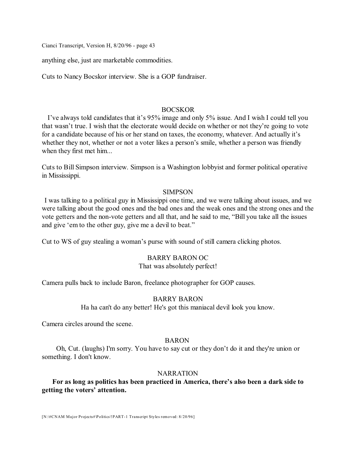anything else, just are marketable commodities.

Cuts to Nancy Bocskor interview. She is a GOP fundraiser.

### BOCSKOR

I've always told candidates that it's 95% image and only 5% issue. And I wish I could tell you that wasn't true. I wish that the electorate would decide on whether or not they're going to vote for a candidate because of his or her stand on taxes, the economy, whatever. And actually it's whether they not, whether or not a voter likes a person's smile, whether a person was friendly when they first met him...

Cuts to Bill Simpson interview. Simpson is a Washington lobbyist and former political operative in Mississippi.

#### SIMPSON

I was talking to a political guy in Mississippi one time, and we were talking about issues, and we were talking about the good ones and the bad ones and the weak ones and the strong ones and the vote getters and the non-vote getters and all that, and he said to me, "Bill you take all the issues and give 'em to the other guy, give me a devil to beat."

Cut to WS of guy stealing a woman's purse with sound of still camera clicking photos.

#### BARRY BARON OC

#### That was absolutely perfect!

Camera pulls back to include Baron, freelance photographer for GOP causes.

### BARRY BARON

Ha ha can't do any better! He's got this maniacal devil look you know.

Camera circles around the scene.

### BARON

Oh, Cut. (laughs) I'm sorry. You have to say cut or they don't do it and they're union or something. I don't know.

#### NARRATION

# **For as long as politics has been practiced in America, there's also been a dark side to getting the voters' attention.**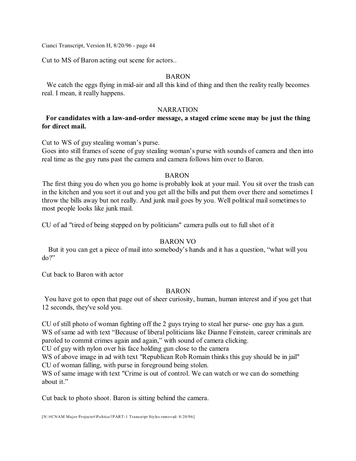Cut to MS of Baron acting out scene for actors..

# BARON

We catch the eggs flying in mid-air and all this kind of thing and then the reality really becomes real. I mean, it really happens.

### **NARRATION**

# **For candidates with a law-and-order message, a staged crime scene may be just the thing for direct mail.**

Cut to WS of guy stealing woman's purse.

Goes into still frames of scene of guy stealing woman's purse with sounds of camera and then into real time as the guy runs past the camera and camera follows him over to Baron.

### BARON

The first thing you do when you go home is probably look at your mail. You sit over the trash can in the kitchen and you sort it out and you get all the bills and put them over there and sometimes I throw the bills away but not really. And junk mail goes by you. Well political mail sometimes to most people looks like junk mail.

CU of ad "tired of being stepped on by politicians" camera pulls out to full shot of it

# BARON VO

But it you can get a piece of mail into somebody's hands and it has a question, "what will you do?"

Cut back to Baron with actor

# BARON

You have got to open that page out of sheer curiosity, human, human interest and if you get that 12 seconds, they've sold you.

CU of still photo of woman fighting off the 2 guys trying to steal her purse- one guy has a gun. WS of same ad with text "Because of liberal politicians like Dianne Feinstein, career criminals are paroled to commit crimes again and again," with sound of camera clicking.

CU of guy with nylon over his face holding gun close to the camera

WS of above image in ad with text "Republican Rob Romain thinks this guy should be in jail" CU of woman falling, with purse in foreground being stolen.

WS of same image with text "Crime is out of control. We can watch or we can do something about it."

Cut back to photo shoot. Baron is sitting behind the camera.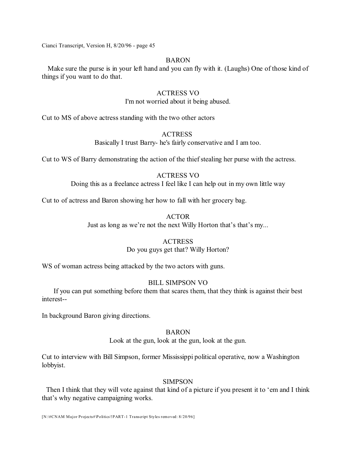### BARON

Make sure the purse is in your left hand and you can fly with it. (Laughs) One of those kind of things if you want to do that.

### ACTRESS VO

I'm not worried about it being abused.

Cut to MS of above actress standing with the two other actors

# **ACTRESS**

Basically I trust Barry- he's fairly conservative and I am too.

Cut to WS of Barry demonstrating the action of the thief stealing her purse with the actress.

### ACTRESS VO

Doing this as a freelance actress I feel like I can help out in my own little way

Cut to of actress and Baron showing her how to fall with her grocery bag.

### ACTOR Just as long as we're not the next Willy Horton that's that's my...

# **ACTRESS**

# Do you guys get that? Willy Horton?

WS of woman actress being attacked by the two actors with guns.

# BILL SIMPSON VO

If you can put something before them that scares them, that they think is against their best interest--

In background Baron giving directions.

# BARON

Look at the gun, look at the gun, look at the gun.

Cut to interview with Bill Simpson, former Mississippi political operative, now a Washington lobbyist.

# SIMPSON

Then I think that they will vote against that kind of a picture if you present it to 'em and I think that's why negative campaigning works.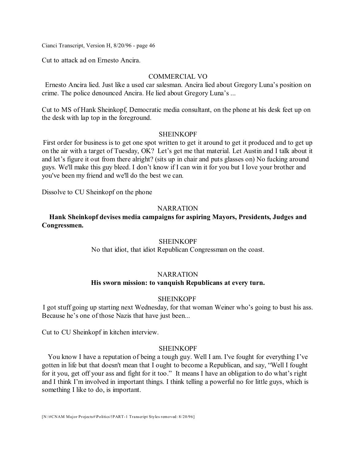Cut to attack ad on Ernesto Ancira.

### COMMERCIAL VO

Ernesto Ancira lied. Just like a used car salesman. Ancira lied about Gregory Luna's position on crime. The police denounced Ancira. He lied about Gregory Luna's ...

Cut to MS of Hank Sheinkopf, Democratic media consultant, on the phone at his desk feet up on the desk with lap top in the foreground.

### SHEINKOPF

First order for business is to get one spot written to get it around to get it produced and to get up on the air with a target of Tuesday, OK? Let's get me that material. Let Austin and I talk about it and let's figure it out from there alright? (sits up in chair and puts glasses on) No fucking around guys. We'll make this guy bleed. I don't know if I can win it for you but I love your brother and you've been my friend and we'll do the best we can.

Dissolve to CU Sheinkopf on the phone

#### **NARRATION**

**Hank Sheinkopf devises media campaigns for aspiring Mayors, Presidents, Judges and Congressmen.** 

### **SHEINKOPF**

No that idiot, that idiot Republican Congressman on the coast.

#### **NARRATION**

### **His sworn mission: to vanquish Republicans at every turn.**

### SHEINKOPF

I got stuff going up starting next Wednesday, for that woman Weiner who's going to bust his ass. Because he's one of those Nazis that have just been...

Cut to CU Sheinkopf in kitchen interview.

#### SHEINKOPF

You know I have a reputation of being a tough guy. Well I am. I've fought for everything I've gotten in life but that doesn't mean that I ought to become a Republican, and say, "Well I fought for it you, get off your ass and fight for it too." It means I have an obligation to do what's right and I think I'm involved in important things. I think telling a powerful no for little guys, which is something I like to do, is important.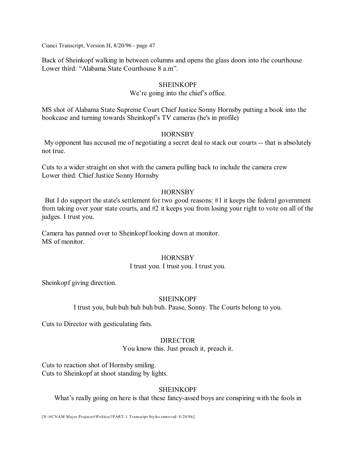Back of Sheinkopf walking in between columns and opens the glass doors into the courthouse Lower third: "Alabama State Courthouse 8 a.m".

### **SHEINKOPF**

### We're going into the chief's office.

MS shot of Alabama State Supreme Court Chief Justice Sonny Hornsby putting a book into the bookcase and turning towards Sheinkopf's TV cameras (he's in profile)

### **HORNSBY**

My opponent has accused me of negotiating a secret deal to stack our courts -- that is absolutely not true.

Cuts to a wider straight on shot with the camera pulling back to include the camera crew Lower third: Chief Justice Sonny Hornsby

### **HORNSBY**

But I do support the state's settlement for two good reasons: #1 it keeps the federal government from taking over your state courts, and #2 it keeps you from losing your right to vote on all of the judges. I trust you.

Camera has panned over to Sheinkopf looking down at monitor. MS of monitor.

### **HORNSBY**

### I trust you. I trust you. I trust you.

Sheinkopf giving direction.

# SHEINKOPF

I trust you, buh buh buh buh buh. Pause, Sonny. The Courts belong to you.

Cuts to Director with gesticulating fists.

# **DIRECTOR**

You know this. Just preach it, preach it.

Cuts to reaction shot of Hornsby smiling. Cuts to Sheinkopf at shoot standing by lights.

# SHEINKOPF

What's really going on here is that these fancy-assed boys are conspiring with the fools in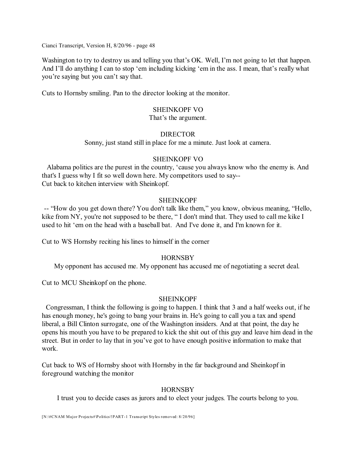Washington to try to destroy us and telling you that's OK. Well, I'm not going to let that happen. And I'll do anything I can to stop 'em including kicking 'em in the ass. I mean, that's really what you're saying but you can't say that.

Cuts to Hornsby smiling. Pan to the director looking at the monitor.

#### SHEINKOPF VO

#### That's the argument.

### DIRECTOR

Sonny, just stand still in place for me a minute. Just look at camera.

### SHEINKOPF VO

Alabama politics are the purest in the country, 'cause you always know who the enemy is. And that's I guess why I fit so well down here. My competitors used to say-- Cut back to kitchen interview with Sheinkopf.

### SHEINKOPF

-- "How do you get down there? You don't talk like them," you know, obvious meaning, "Hello, kike from NY, you're not supposed to be there, "I don't mind that. They used to call me kike I used to hit 'em on the head with a baseball bat. And I've done it, and I'm known for it.

Cut to WS Hornsby reciting his lines to himself in the corner

### **HORNSBY**

My opponent has accused me. My opponent has accused me of negotiating a secret deal.

Cut to MCU Sheinkopf on the phone.

### SHEINKOPF

Congressman, I think the following is going to happen. I think that 3 and a half weeks out, if he has enough money, he's going to bang your brains in. He's going to call you a tax and spend liberal, a Bill Clinton surrogate, one of the Washington insiders. And at that point, the day he opens his mouth you have to be prepared to kick the shit out of this guy and leave him dead in the street. But in order to lay that in you've got to have enough positive information to make that work.

Cut back to WS of Hornsby shoot with Hornsby in the far background and Sheinkopf in foreground watching the monitor

### **HORNSBY**

I trust you to decide cases as jurors and to elect your judges. The courts belong to you.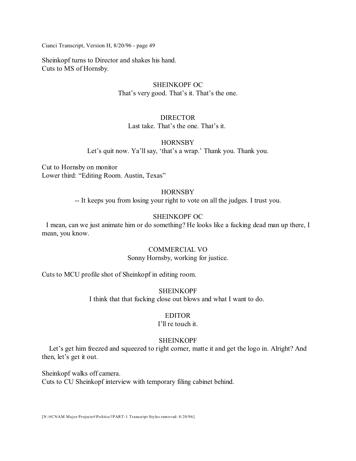Sheinkopf turns to Director and shakes his hand. Cuts to MS of Hornsby.

# SHEINKOPF OC That's very good. That's it. That's the one.

# DIRECTOR

Last take. That's the one. That's it.

# **HORNSBY**

Let's quit now. Ya'll say, 'that's a wrap.' Thank you. Thank you.

Cut to Hornsby on monitor Lower third: "Editing Room. Austin, Texas"

# **HORNSBY**

-- It keeps you from losing your right to vote on all the judges. I trust you.

# SHEINKOPF OC

I mean, can we just animate him or do something? He looks like a fucking dead man up there, I mean, you know.

# COMMERCIAL VO

Sonny Hornsby, working for justice.

Cuts to MCU profile shot of Sheinkopf in editing room.

SHEINKOPF

I think that that fucking close out blows and what I want to do.

# EDITOR

# I'll re touch it.

# SHEINKOPF

Let's get him freezed and squeezed to right corner, matte it and get the logo in. Alright? And then, let's get it out.

Sheinkopf walks off camera. Cuts to CU Sheinkopf interview with temporary filing cabinet behind.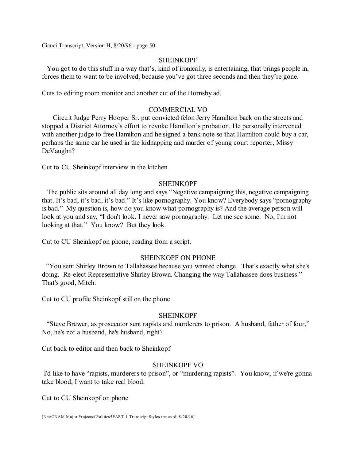### **SHEINKOPF**

You got to do this stuff in a way that's, kind of ironically, is entertaining, that brings people in, forces them to want to be involved, because you've got three seconds and then they're gone.

Cuts to editing room monitor and another cut of the Hornsby ad.

### COMMERCIAL VO

Circuit Judge Perry Hooper Sr. put convicted felon Jerry Hamilton back on the streets and stopped a District Attorney's effort to revoke Hamilton's probation. He personally intervened with another judge to free Hamilton and he signed a bank note so that Hamilton could buy a car, perhaps the same car he used in the kidnapping and murder of young court reporter, Missy DeVaughn?

Cut to CU Sheinkopf interview in the kitchen

### **SHEINKOPF**

The public sits around all day long and says "Negative campaigning this, negative campaigning that. It's bad, it's bad, it's bad." It's like pornography. You know? Everybody says "pornography is bad." My question is, how do you know what pornography is? And the average person will look at you and say, "I don't look. I never saw pornography. Let me see some. No, I'm not looking at that." You know? But they look.

Cut to CU Sheinkopf on phone, reading from a script.

# SHEINKOPF ON PHONE

"You sent Shirley Brown to Tallahassee because you wanted change. That's exactly what she's doing. Re-elect Representative Shirley Brown. Changing the way Tallahassee does business." That's good, Mitch.

Cut to CU profile Sheinkopf still on the phone

### SHEINKOPF

"Steve Brewer, as prosecutor sent rapists and murderers to prison. A husband, father of four," No, he's not a husband, he's husband, right?

Cut back to editor and then back to Sheinkopf

### SHEINKOPF VO

I'd like to have "rapists, murderers to prison", or "murdering rapists". You know, if we're gonna take blood, I want to take real blood.

Cut to CU Sheinkopf on phone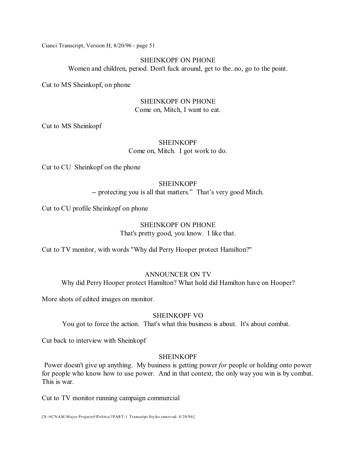### SHEINKOPF ON PHONE

Women and children, period. Don't fuck around, get to the..no, go to the point.

Cut to MS Sheinkopf, on phone

### SHEINKOPF ON PHONE Come on, Mitch, I want to eat.

Cut to MS Sheinkopf

# **SHEINKOPF** Come on, Mitch. I got work to do.

Cut to CU Sheinkopf on the phone

### **SHEINKOPF**

-- protecting you is all that matters." That's very good Mitch.

Cut to CU profile Sheinkopf on phone

# SHEINKOPF ON PHONE That's pretty good, you know. I like that.

Cut to TV monitor, with words "Why did Perry Hooper protect Hamilton?"

### ANNOUNCER ON TV

Why did Perry Hooper protect Hamilton? What hold did Hamilton have on Hooper?

More shots of edited images on monitor.

### SHEINKOPF VO

You got to force the action. That's what this business is about. It's about combat.

Cut back to interview with Sheinkopf

# SHEINKOPF

Power doesn't give up anything. My business is getting power *for* people or holding onto power for people who know how to use power. And in that context, the only way you win is by combat. This is war.

Cut to TV monitor running campaign commercial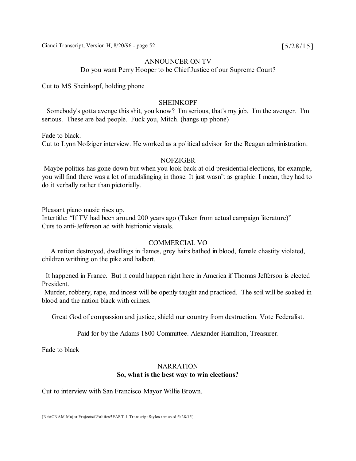Cianci Transcript, Version H,  $8/20/96$  - page 52 [5/28/15]

### ANNOUNCER ON TV

Do you want Perry Hooper to be Chief Justice of our Supreme Court?

Cut to MS Sheinkopf, holding phone

# **SHEINKOPF**

Somebody's gotta avenge this shit, you know? I'm serious, that's my job. I'm the avenger. I'm serious. These are bad people. Fuck you, Mitch. (hangs up phone)

Fade to black. Cut to Lynn Nofziger interview. He worked as a political advisor for the Reagan administration.

### **NOFZIGER**

Maybe politics has gone down but when you look back at old presidential elections, for example, you will find there was a lot of mudslinging in those. It just wasn't as graphic. I mean, they had to do it verbally rather than pictorially.

Pleasant piano music rises up. Intertitle: "If TV had been around 200 years ago (Taken from actual campaign literature)" Cuts to anti-Jefferson ad with histrionic visuals.

#### COMMERCIAL VO

A nation destroyed, dwellings in flames, grey hairs bathed in blood, female chastity violated, children writhing on the pike and halbert.

It happened in France. But it could happen right here in America if Thomas Jefferson is elected President.

Murder, robbery, rape, and incest will be openly taught and practiced. The soil will be soaked in blood and the nation black with crimes.

Great God of compassion and justice, shield our country from destruction. Vote Federalist.

Paid for by the Adams 1800 Committee. Alexander Hamilton, Treasurer.

Fade to black

# **NARRATION So, what is the best way to win elections?**

Cut to interview with San Francisco Mayor Willie Brown.